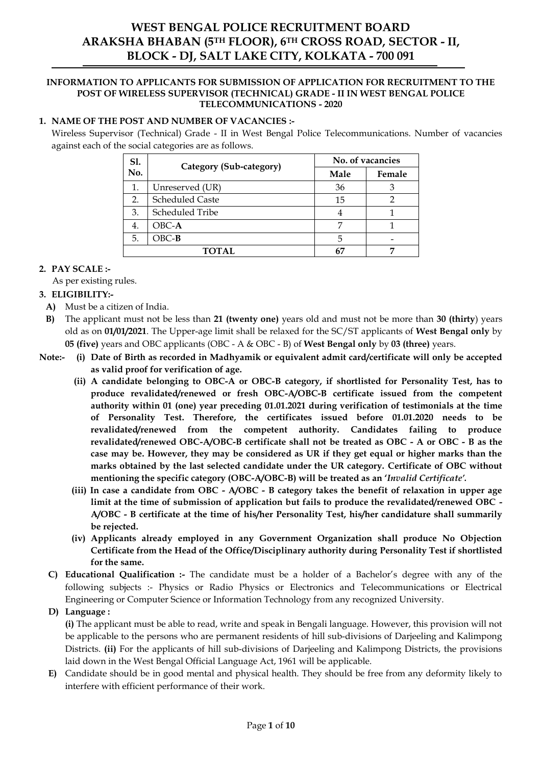# **WEST BENGAL POLICE RECRUITMENT BOARD ARAKSHA BHABAN (5TH FLOOR), 6TH CROSS ROAD, SECTOR - II, BLOCK - DJ, SALT LAKE CITY, KOLKATA - 700 091**

#### **INFORMATION TO APPLICANTS FOR SUBMISSION OF APPLICATION FOR RECRUITMENT TO THE POST OF WIRELESS SUPERVISOR (TECHNICAL) GRADE - II IN WEST BENGAL POLICE TELECOMMUNICATIONS - 2020**

## **1. NAME OF THE POST AND NUMBER OF VACANCIES :-**

Wireless Supervisor (Technical) Grade - II in West Bengal Police Telecommunications. Number of vacancies against each of the social categories are as follows.

| <b>S1.</b> | Category (Sub-category) | No. of vacancies |        |  |
|------------|-------------------------|------------------|--------|--|
| No.        |                         | Male             | Female |  |
|            | Unreserved (UR)         | 36               |        |  |
| 2.         | <b>Scheduled Caste</b>  | 15               |        |  |
| 3.         | Scheduled Tribe         |                  |        |  |
| 4.         | $OBC-A$                 |                  |        |  |
| 5.         | $OBC-B$                 | 5                |        |  |
|            | <b>TOTAL</b>            | 67               |        |  |

### **2. PAY SCALE :-**

As per existing rules.

## **3. ELIGIBILITY:-**

- **A)** Must be a citizen of India.
- **B)** The applicant must not be less than **21 (twenty one)** years old and must not be more than **30 (thirty**) years old as on **01/01/2021**. The Upper-age limit shall be relaxed for the SC/ST applicants of **West Bengal only** by **05 (five)** years and OBC applicants (OBC - A & OBC - B) of **West Bengal only** by **03 (three)** years.
- **Note:- (i) Date of Birth as recorded in Madhyamik or equivalent admit card/certificate will only be accepted as valid proof for verification of age.**
	- **(ii) A candidate belonging to OBC-A or OBC-B category, if shortlisted for Personality Test, has to produce revalidated/renewed or fresh OBC-A/OBC-B certificate issued from the competent authority within 01 (one) year preceding 01.01.2021 during verification of testimonials at the time of Personality Test. Therefore, the certificates issued before 01.01.2020 needs to be revalidated/renewed from the competent authority. Candidates failing to produce revalidated/renewed OBC-A/OBC-B certificate shall not be treated as OBC - A or OBC - B as the case may be. However, they may be considered as UR if they get equal or higher marks than the marks obtained by the last selected candidate under the UR category. Certificate of OBC without mentioning the specific category (OBC-A/OBC-B) will be treated as an '***Invalid Certificate'.*
	- **(iii) In case a candidate from OBC - A/OBC - B category takes the benefit of relaxation in upper age limit at the time of submission of application but fails to produce the revalidated/renewed OBC - A/OBC - B certificate at the time of his/her Personality Test, his/her candidature shall summarily be rejected.**
	- **(iv) Applicants already employed in any Government Organization shall produce No Objection Certificate from the Head of the Office/Disciplinary authority during Personality Test if shortlisted for the same.**
	- **C) Educational Qualification :-** The candidate must be a holder of a Bachelor's degree with any of the following subjects :- Physics or Radio Physics or Electronics and Telecommunications or Electrical Engineering or Computer Science or Information Technology from any recognized University.
	- **D) Language :**

**(i)** The applicant must be able to read, write and speak in Bengali language. However, this provision will not be applicable to the persons who are permanent residents of hill sub-divisions of Darjeeling and Kalimpong Districts. **(ii)** For the applicants of hill sub-divisions of Darjeeling and Kalimpong Districts, the provisions laid down in the West Bengal Official Language Act, 1961 will be applicable.

**E)** Candidate should be in good mental and physical health. They should be free from any deformity likely to interfere with efficient performance of their work.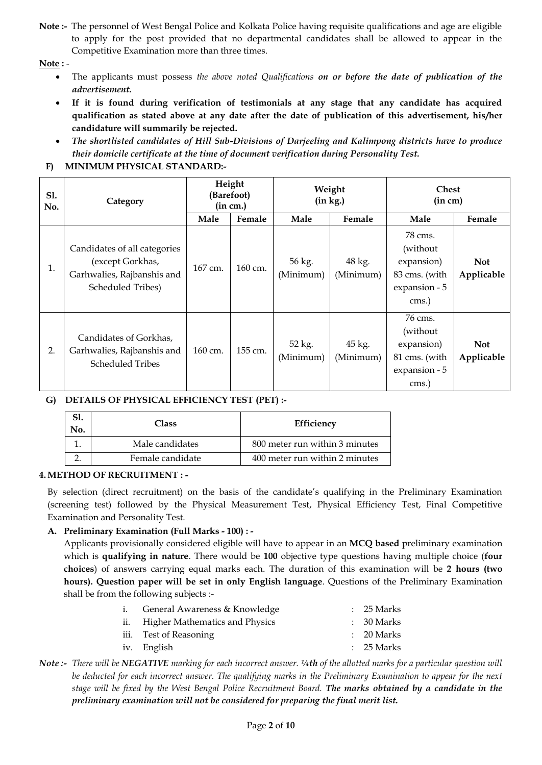**Note :-** The personnel of West Bengal Police and Kolkata Police having requisite qualifications and age are eligible to apply for the post provided that no departmental candidates shall be allowed to appear in the Competitive Examination more than three times.

**Note :** -

- The applicants must possess *the above noted Qualifications on or before the date of publication of the advertisement.*
- **If it is found during verification of testimonials at any stage that any candidate has acquired qualification as stated above at any date after the date of publication of this advertisement, his/her candidature will summarily be rejected.**
- *The shortlisted candidates of Hill Sub-Divisions of Darjeeling and Kalimpong districts have to produce their domicile certificate at the time of document verification during Personality Test.*

## **F) MINIMUM PHYSICAL STANDARD:-**

| <b>S1.</b><br>No. | Category                                                                                            | Height<br>(Barefoot)<br>(in cm.) |         | Weight<br>(in kg.)  |                     | <b>Chest</b><br>(in cm)                                                       |                          |
|-------------------|-----------------------------------------------------------------------------------------------------|----------------------------------|---------|---------------------|---------------------|-------------------------------------------------------------------------------|--------------------------|
|                   |                                                                                                     | Male                             | Female  | Male                | Female              | Male                                                                          | Female                   |
| 1.                | Candidates of all categories<br>(except Gorkhas,<br>Garhwalies, Rajbanshis and<br>Scheduled Tribes) | 167 cm.                          | 160 cm. | 56 kg.<br>(Minimum) | 48 kg.<br>(Minimum) | 78 cms.<br>(without<br>expansion)<br>83 cms. (with<br>expansion - 5<br>cms.)  | <b>Not</b><br>Applicable |
| 2.                | Candidates of Gorkhas,<br>Garhwalies, Rajbanshis and<br><b>Scheduled Tribes</b>                     | 160 cm.                          | 155 cm. | 52 kg.<br>(Minimum) | 45 kg.<br>(Minimum) | 76 cms.<br>(without)<br>expansion)<br>81 cms. (with<br>expansion - 5<br>cms.) | <b>Not</b><br>Applicable |

## **G) DETAILS OF PHYSICAL EFFICIENCY TEST (PET) :-**

| <b>Class</b>     | Efficiency                     |
|------------------|--------------------------------|
| Male candidates  | 800 meter run within 3 minutes |
| Female candidate | 400 meter run within 2 minutes |

### **4.METHOD OF RECRUITMENT : -**

By selection (direct recruitment) on the basis of the candidate's qualifying in the Preliminary Examination (screening test) followed by the Physical Measurement Test, Physical Efficiency Test, Final Competitive Examination and Personality Test.

## **A. Preliminary Examination (Full Marks - 100) : -**

Applicants provisionally considered eligible will have to appear in an **MCQ based** preliminary examination which is **qualifying in nature**. There would be **100** objective type questions having multiple choice (**four choices**) of answers carrying equal marks each. The duration of this examination will be **2 hours (two hours). Question paper will be set in only English language**. Questions of the Preliminary Examination shall be from the following subjects :-

| i. | General Awareness & Knowledge      | $: 25$ Marks          |
|----|------------------------------------|-----------------------|
|    | ii. Higher Mathematics and Physics | $\therefore$ 30 Marks |
|    | iii. Test of Reasoning             | $\therefore$ 20 Marks |
|    | iv. English                        | $\therefore$ 25 Marks |
|    |                                    |                       |

*Note :- There will be NEGATIVE marking for each incorrect answer. ¼th of the allotted marks for a particular question will be deducted for each incorrect answer. The qualifying marks in the Preliminary Examination to appear for the next stage will be fixed by the West Bengal Police Recruitment Board. The marks obtained by a candidate in the preliminary examination will not be considered for preparing the final merit list.*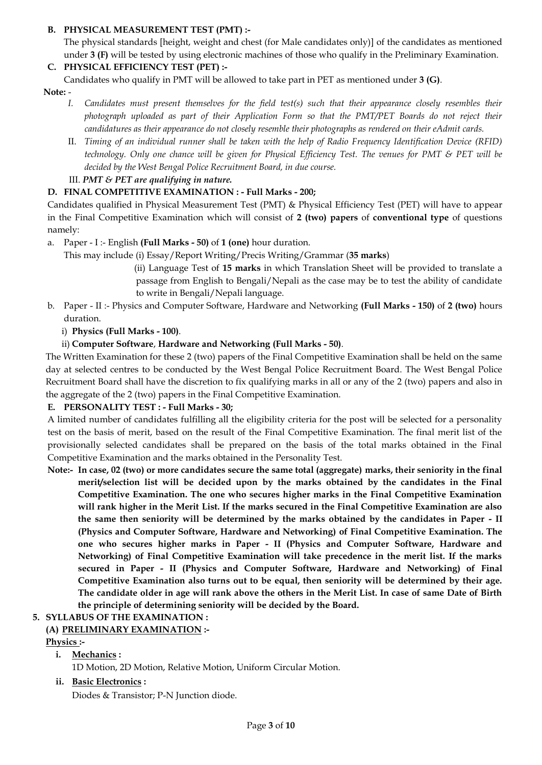## **B. PHYSICAL MEASUREMENT TEST (PMT) :-**

The physical standards [height, weight and chest (for Male candidates only)] of the candidates as mentioned under **3 (F)** will be tested by using electronic machines of those who qualify in the Preliminary Examination.

# **C. PHYSICAL EFFICIENCY TEST (PET) :-**

Candidates who qualify in PMT will be allowed to take part in PET as mentioned under **3 (G)**.

**Note:** -

- *I. Candidates must present themselves for the field test(s) such that their appearance closely resembles their photograph uploaded as part of their Application Form so that the PMT/PET Boards do not reject their candidatures as their appearance do not closely resemble their photographs as rendered on their eAdmit cards.*
- II. *Timing of an individual runner shall be taken with the help of Radio Frequency Identification Device (RFID) technology. Only one chance will be given for Physical Efficiency Test. The venues for PMT & PET will be decided by the West Bengal Police Recruitment Board, in due course.*

# III. *PMT & PET are qualifying in nature.*

# **D. FINAL COMPETITIVE EXAMINATION : - Full Marks - 200;**

Candidates qualified in Physical Measurement Test (PMT) & Physical Efficiency Test (PET) will have to appear in the Final Competitive Examination which will consist of **2 (two) papers** of **conventional type** of questions namely:

a. Paper - I :- English **(Full Marks - 50)** of **1 (one)** hour duration.

This may include (i) Essay/Report Writing/Precis Writing/Grammar (**35 marks**)

 (ii) Language Test of **15 marks** in which Translation Sheet will be provided to translate a passage from English to Bengali/Nepali as the case may be to test the ability of candidate to write in Bengali/Nepali language.

b. Paper - II :- Physics and Computer Software, Hardware and Networking **(Full Marks - 150)** of **2 (two)** hours duration.

# i) **Physics (Full Marks - 100)**.

# ii) **Computer Software**, **Hardware and Networking (Full Marks - 50)**.

The Written Examination for these 2 (two) papers of the Final Competitive Examination shall be held on the same day at selected centres to be conducted by the West Bengal Police Recruitment Board. The West Bengal Police Recruitment Board shall have the discretion to fix qualifying marks in all or any of the 2 (two) papers and also in the aggregate of the 2 (two) papers in the Final Competitive Examination.

## **E. PERSONALITY TEST : - Full Marks - 30;**

A limited number of candidates fulfilling all the eligibility criteria for the post will be selected for a personality test on the basis of merit, based on the result of the Final Competitive Examination. The final merit list of the provisionally selected candidates shall be prepared on the basis of the total marks obtained in the Final Competitive Examination and the marks obtained in the Personality Test.

**Note:- In case, 02 (two) or more candidates secure the same total (aggregate) marks, their seniority in the final merit/selection list will be decided upon by the marks obtained by the candidates in the Final Competitive Examination. The one who secures higher marks in the Final Competitive Examination will rank higher in the Merit List. If the marks secured in the Final Competitive Examination are also the same then seniority will be determined by the marks obtained by the candidates in Paper - II (Physics and Computer Software, Hardware and Networking) of Final Competitive Examination. The one who secures higher marks in Paper - II (Physics and Computer Software, Hardware and Networking) of Final Competitive Examination will take precedence in the merit list. If the marks secured in Paper - II (Physics and Computer Software, Hardware and Networking) of Final Competitive Examination also turns out to be equal, then seniority will be determined by their age. The candidate older in age will rank above the others in the Merit List. In case of same Date of Birth the principle of determining seniority will be decided by the Board.** 

# **5. SYLLABUS OF THE EXAMINATION :**

# **(A) PRELIMINARY EXAMINATION :-**

**Physics :-**

# **i. Mechanics :**

1D Motion, 2D Motion, Relative Motion, Uniform Circular Motion.

## **ii. Basic Electronics :**

Diodes & Transistor; P-N Junction diode.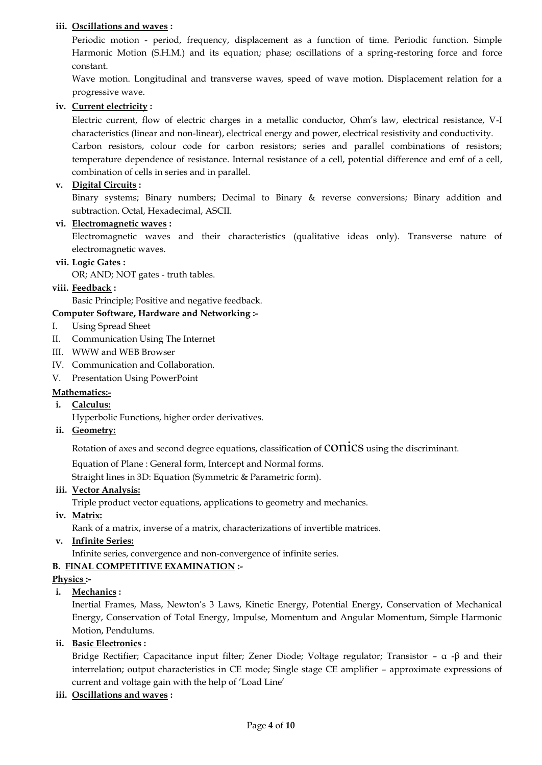## **iii. Oscillations and waves :**

Periodic motion - period, frequency, displacement as a function of time. Periodic function. Simple Harmonic Motion (S.H.M.) and its equation; phase; oscillations of a spring-restoring force and force constant.

Wave motion. Longitudinal and transverse waves, speed of wave motion. Displacement relation for a progressive wave.

### **iv. Current electricity :**

Electric current, flow of electric charges in a metallic conductor, Ohm's law, electrical resistance, V-I characteristics (linear and non-linear), electrical energy and power, electrical resistivity and conductivity.

Carbon resistors, colour code for carbon resistors; series and parallel combinations of resistors; temperature dependence of resistance. Internal resistance of a cell, potential difference and emf of a cell, combination of cells in series and in parallel.

### **v. Digital Circuits :**

Binary systems; Binary numbers; Decimal to Binary & reverse conversions; Binary addition and subtraction. Octal, Hexadecimal, ASCII.

### **vi. Electromagnetic waves :**

Electromagnetic waves and their characteristics (qualitative ideas only). Transverse nature of electromagnetic waves.

### **vii. Logic Gates :**

OR; AND; NOT gates - truth tables.

### **viii. Feedback :**

Basic Principle; Positive and negative feedback.

### **Computer Software, Hardware and Networking :-**

- I. Using Spread Sheet
- II. Communication Using The Internet
- III. WWW and WEB Browser
- IV. Communication and Collaboration.
- V. Presentation Using PowerPoint

### **Mathematics:-**

**i. Calculus:**

Hyperbolic Functions, higher order derivatives.

#### **ii. Geometry:**

Rotation of axes and second degree equations, classification of **CONICS** using the discriminant.

Equation of Plane : General form, Intercept and Normal forms.

Straight lines in 3D: Equation (Symmetric & Parametric form).

#### **iii. Vector Analysis:**

Triple product vector equations, applications to geometry and mechanics.

**iv. Matrix:**

Rank of a matrix, inverse of a matrix, characterizations of invertible matrices.

**v. Infinite Series:**

Infinite series, convergence and non-convergence of infinite series.

### **B. FINAL COMPETITIVE EXAMINATION :-**

#### **Physics :-**

### **i. Mechanics :**

Inertial Frames, Mass, Newton's 3 Laws, Kinetic Energy, Potential Energy, Conservation of Mechanical Energy, Conservation of Total Energy, Impulse, Momentum and Angular Momentum, Simple Harmonic Motion, Pendulums.

### **ii. Basic Electronics :**

Bridge Rectifier; Capacitance input filter; Zener Diode; Voltage regulator; Transistor –  $\alpha$  - $\beta$  and their interrelation; output characteristics in CE mode; Single stage CE amplifier – approximate expressions of current and voltage gain with the help of 'Load Line'

**iii. Oscillations and waves :**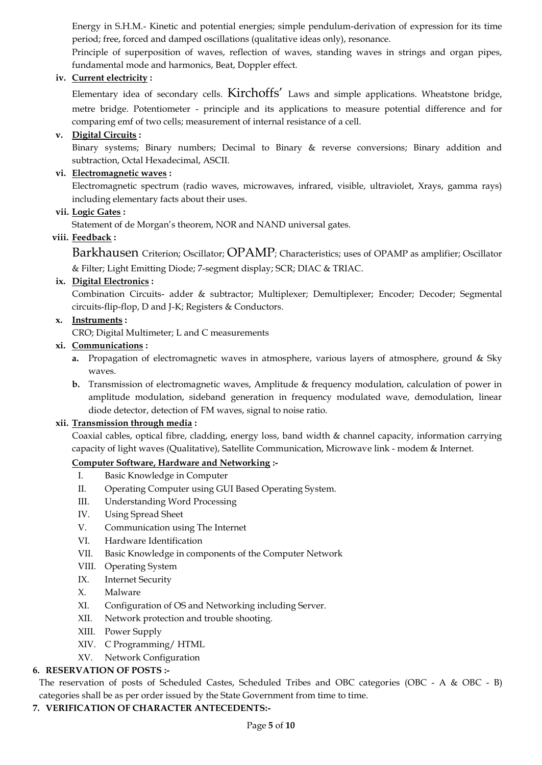Energy in S.H.M.- Kinetic and potential energies; simple pendulum-derivation of expression for its time period; free, forced and damped oscillations (qualitative ideas only), resonance.

Principle of superposition of waves, reflection of waves, standing waves in strings and organ pipes, fundamental mode and harmonics, Beat, Doppler effect.

## **iv. Current electricity :**

Elementary idea of secondary cells. Kirchoffs' Laws and simple applications. Wheatstone bridge, metre bridge. Potentiometer - principle and its applications to measure potential difference and for comparing emf of two cells; measurement of internal resistance of a cell.

## **v. Digital Circuits :**

Binary systems; Binary numbers; Decimal to Binary & reverse conversions; Binary addition and subtraction, Octal Hexadecimal, ASCII.

## **vi. Electromagnetic waves :**

Electromagnetic spectrum (radio waves, microwaves, infrared, visible, ultraviolet, Xrays, gamma rays) including elementary facts about their uses.

### **vii. Logic Gates :**

Statement of de Morgan's theorem, NOR and NAND universal gates.

## **viii. Feedback :**

Barkhausen Criterion; Oscillator; OPAMP; Characteristics; uses of OPAMP as amplifier; Oscillator & Filter; Light Emitting Diode; 7-segment display; SCR; DIAC & TRIAC.

## **ix. Digital Electronics :**

Combination Circuits- adder & subtractor; Multiplexer; Demultiplexer; Encoder; Decoder; Segmental circuits-flip-flop, D and J-K; Registers & Conductors.

## **x. Instruments :**

CRO; Digital Multimeter; L and C measurements

## **xi. Communications :**

- **a.** Propagation of electromagnetic waves in atmosphere, various layers of atmosphere, ground & Sky waves
- **b.** Transmission of electromagnetic waves, Amplitude & frequency modulation, calculation of power in amplitude modulation, sideband generation in frequency modulated wave, demodulation, linear diode detector, detection of FM waves, signal to noise ratio.

### **xii. Transmission through media :**

Coaxial cables, optical fibre, cladding, energy loss, band width & channel capacity, information carrying capacity of light waves (Qualitative), Satellite Communication, Microwave link - modem & Internet.

### **Computer Software, Hardware and Networking :-**

- I. Basic Knowledge in Computer
- II. Operating Computer using GUI Based Operating System.
- III. Understanding Word Processing
- IV. Using Spread Sheet
- V. Communication using The Internet
- VI. Hardware Identification
- VII. Basic Knowledge in components of the Computer Network
- VIII. Operating System
- IX. Internet Security
- X. Malware
- XI. Configuration of OS and Networking including Server.
- XII. Network protection and trouble shooting.
- XIII. Power Supply
- XIV. C Programming/ HTML
- XV. Network Configuration

### **6. RESERVATION OF POSTS :-**

The reservation of posts of Scheduled Castes, Scheduled Tribes and OBC categories (OBC - A & OBC - B) categories shall be as per order issued by the State Government from time to time.

### **7. VERIFICATION OF CHARACTER ANTECEDENTS:-**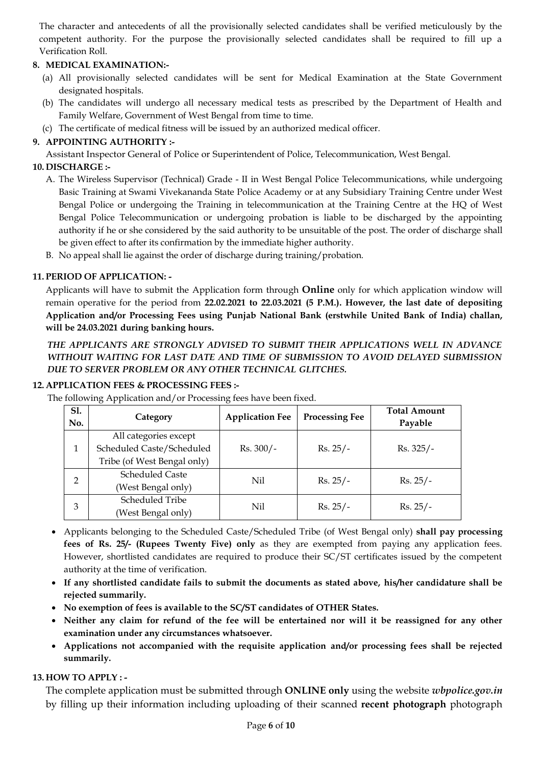The character and antecedents of all the provisionally selected candidates shall be verified meticulously by the competent authority. For the purpose the provisionally selected candidates shall be required to fill up a Verification Roll.

# **8. MEDICAL EXAMINATION:-**

- (a) All provisionally selected candidates will be sent for Medical Examination at the State Government designated hospitals.
- (b) The candidates will undergo all necessary medical tests as prescribed by the Department of Health and Family Welfare, Government of West Bengal from time to time.
- (c) The certificate of medical fitness will be issued by an authorized medical officer.

## **9. APPOINTING AUTHORITY :-**

Assistant Inspector General of Police or Superintendent of Police, Telecommunication, West Bengal.

## **10. DISCHARGE :-**

- A. The Wireless Supervisor (Technical) Grade II in West Bengal Police Telecommunications, while undergoing Basic Training at Swami Vivekananda State Police Academy or at any Subsidiary Training Centre under West Bengal Police or undergoing the Training in telecommunication at the Training Centre at the HQ of West Bengal Police Telecommunication or undergoing probation is liable to be discharged by the appointing authority if he or she considered by the said authority to be unsuitable of the post. The order of discharge shall be given effect to after its confirmation by the immediate higher authority.
- B. No appeal shall lie against the order of discharge during training/probation.

## **11. PERIOD OF APPLICATION: -**

Applicants will have to submit the Application form through **Online** only for which application window will remain operative for the period from **22.02.2021 to 22.03.2021 (5 P.M.). However, the last date of depositing Application and/or Processing Fees using Punjab National Bank (erstwhile United Bank of India) challan, will be 24.03.2021 during banking hours.** 

## *THE APPLICANTS ARE STRONGLY ADVISED TO SUBMIT THEIR APPLICATIONS WELL IN ADVANCE WITHOUT WAITING FOR LAST DATE AND TIME OF SUBMISSION TO AVOID DELAYED SUBMISSION DUE TO SERVER PROBLEM OR ANY OTHER TECHNICAL GLITCHES.*

## **12. APPLICATION FEES & PROCESSING FEES :-**

| <b>S1.</b><br>No. | Category                    | <b>Application Fee</b> | <b>Processing Fee</b> | <b>Total Amount</b><br>Payable |  |
|-------------------|-----------------------------|------------------------|-----------------------|--------------------------------|--|
|                   | All categories except       |                        | $Rs. 25/-$            | $Rs. 325/-$                    |  |
|                   | Scheduled Caste/Scheduled   | $Rs. 300/-$            |                       |                                |  |
|                   | Tribe (of West Bengal only) |                        |                       |                                |  |
| $\overline{2}$    | <b>Scheduled Caste</b>      | Nil                    | $Rs. 25/-$            | $Rs. 25/-$                     |  |
|                   | (West Bengal only)          |                        |                       |                                |  |
| 3                 | Scheduled Tribe             | Nil                    | $Rs. 25/-$            | $Rs. 25/-$                     |  |
|                   | (West Bengal only)          |                        |                       |                                |  |

The following Application and/or Processing fees have been fixed.

- Applicants belonging to the Scheduled Caste/Scheduled Tribe (of West Bengal only) **shall pay processing fees of Rs. 25/- (Rupees Twenty Five) only** as they are exempted from paying any application fees. However, shortlisted candidates are required to produce their SC/ST certificates issued by the competent authority at the time of verification.
- **If any shortlisted candidate fails to submit the documents as stated above, his/her candidature shall be rejected summarily.**
- **No exemption of fees is available to the SC/ST candidates of OTHER States.**
- **Neither any claim for refund of the fee will be entertained nor will it be reassigned for any other examination under any circumstances whatsoever.**
- **Applications not accompanied with the requisite application and/or processing fees shall be rejected summarily.**

## **13. HOW TO APPLY : -**

The complete application must be submitted through **ONLINE only** using the website *wbpolice.gov.in* by filling up their information including uploading of their scanned **recent photograph** photograph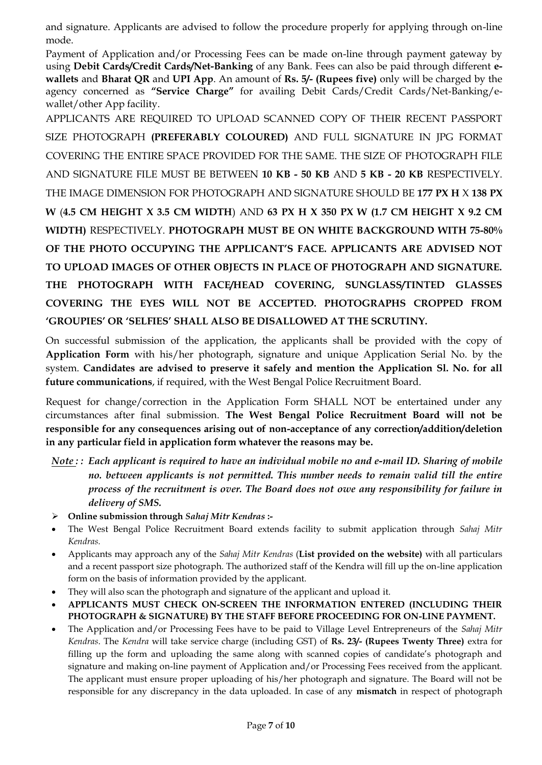and signature. Applicants are advised to follow the procedure properly for applying through on-line mode.

Payment of Application and/or Processing Fees can be made on-line through payment gateway by using **Debit Cards/Credit Cards/Net-Banking** of any Bank. Fees can also be paid through different **ewallets** and **Bharat QR** and **UPI App**. An amount of **Rs. 5/- (Rupees five)** only will be charged by the agency concerned as **"Service Charge"** for availing Debit Cards/Credit Cards/Net-Banking/ewallet/other App facility.

APPLICANTS ARE REQUIRED TO UPLOAD SCANNED COPY OF THEIR RECENT PASSPORT SIZE PHOTOGRAPH **(PREFERABLY COLOURED)** AND FULL SIGNATURE IN JPG FORMAT COVERING THE ENTIRE SPACE PROVIDED FOR THE SAME. THE SIZE OF PHOTOGRAPH FILE AND SIGNATURE FILE MUST BE BETWEEN **10 KB - 50 KB** AND **5 KB - 20 KB** RESPECTIVELY. THE IMAGE DIMENSION FOR PHOTOGRAPH AND SIGNATURE SHOULD BE **177 PX H** X **138 PX W** (**4.5 CM HEIGHT X 3.5 CM WIDTH**) AND **63 PX H X 350 PX W (1.7 CM HEIGHT X 9.2 CM WIDTH)** RESPECTIVELY. **PHOTOGRAPH MUST BE ON WHITE BACKGROUND WITH 75-80% OF THE PHOTO OCCUPYING THE APPLICANT'S FACE. APPLICANTS ARE ADVISED NOT TO UPLOAD IMAGES OF OTHER OBJECTS IN PLACE OF PHOTOGRAPH AND SIGNATURE. THE PHOTOGRAPH WITH FACE/HEAD COVERING, SUNGLASS/TINTED GLASSES COVERING THE EYES WILL NOT BE ACCEPTED. PHOTOGRAPHS CROPPED FROM 'GROUPIES' OR 'SELFIES' SHALL ALSO BE DISALLOWED AT THE SCRUTINY.** 

On successful submission of the application, the applicants shall be provided with the copy of **Application Form** with his/her photograph, signature and unique Application Serial No. by the system. **Candidates are advised to preserve it safely and mention the Application Sl. No. for all future communications**, if required, with the West Bengal Police Recruitment Board.

Request for change/correction in the Application Form SHALL NOT be entertained under any circumstances after final submission. **The West Bengal Police Recruitment Board will not be responsible for any consequences arising out of non-acceptance of any correction/addition/deletion in any particular field in application form whatever the reasons may be.**

- *Note : : Each applicant is required to have an individual mobile no and e-mail ID. Sharing of mobile*  no. between applicants is not permitted. This number needs to remain valid till the entire *process of the recruitment is over. The Board does not owe any responsibility for failure in delivery of SMS.*
- ➢ **Online submission through** *Sahaj Mitr Kendras* **:-**
- The West Bengal Police Recruitment Board extends facility to submit application through *Sahaj Mitr Kendras.*
- Applicants may approach any of the *Sahaj Mitr Kendras* (**List provided on the website)** with all particulars and a recent passport size photograph. The authorized staff of the Kendra will fill up the on-line application form on the basis of information provided by the applicant.
- They will also scan the photograph and signature of the applicant and upload it.
- **APPLICANTS MUST CHECK ON-SCREEN THE INFORMATION ENTERED (INCLUDING THEIR PHOTOGRAPH & SIGNATURE) BY THE STAFF BEFORE PROCEEDING FOR ON-LINE PAYMENT.**
- The Application and/or Processing Fees have to be paid to Village Level Entrepreneurs of the *Sahaj Mitr Kendras*. The *Kendra* will take service charge (including GST) of **Rs. 23/- (Rupees Twenty Three)** extra for filling up the form and uploading the same along with scanned copies of candidate's photograph and signature and making on-line payment of Application and/or Processing Fees received from the applicant. The applicant must ensure proper uploading of his/her photograph and signature. The Board will not be responsible for any discrepancy in the data uploaded. In case of any **mismatch** in respect of photograph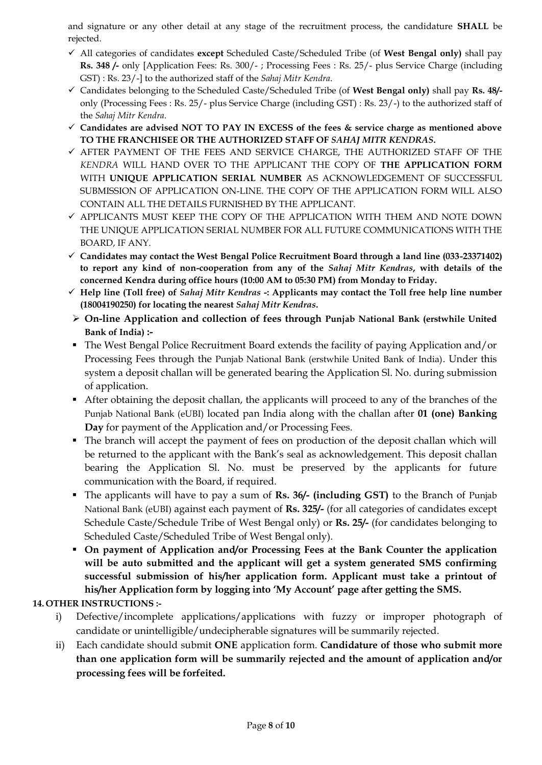and signature or any other detail at any stage of the recruitment process, the candidature **SHALL** be rejected.

- ✓ All categories of candidates **except** Scheduled Caste/Scheduled Tribe (of **West Bengal only)** shall pay **Rs. 348 /-** only [Application Fees: Rs. 300/- ; Processing Fees : Rs. 25/- plus Service Charge (including GST) : Rs. 23/-] to the authorized staff of the *Sahaj Mitr Kendra*.
- ✓ Candidates belonging to the Scheduled Caste/Scheduled Tribe (of **West Bengal only)** shall pay **Rs. 48/** only (Processing Fees : Rs. 25/- plus Service Charge (including GST) : Rs. 23/-) to the authorized staff of the *Sahaj Mitr Kendra*.
- ✓ **Candidates are advised NOT TO PAY IN EXCESS of the fees & service charge as mentioned above TO THE FRANCHISEE OR THE AUTHORIZED STAFF OF** *SAHAJ MITR KENDRAS***.**
- ✓ AFTER PAYMENT OF THE FEES AND SERVICE CHARGE, THE AUTHORIZED STAFF OF THE *KENDRA* WILL HAND OVER TO THE APPLICANT THE COPY OF **THE APPLICATION FORM** WITH **UNIQUE APPLICATION SERIAL NUMBER** AS ACKNOWLEDGEMENT OF SUCCESSFUL SUBMISSION OF APPLICATION ON-LINE. THE COPY OF THE APPLICATION FORM WILL ALSO CONTAIN ALL THE DETAILS FURNISHED BY THE APPLICANT.
- ✓ APPLICANTS MUST KEEP THE COPY OF THE APPLICATION WITH THEM AND NOTE DOWN THE UNIQUE APPLICATION SERIAL NUMBER FOR ALL FUTURE COMMUNICATIONS WITH THE BOARD, IF ANY.
- ✓ **Candidates may contact the West Bengal Police Recruitment Board through a land line (033-23371402) to report any kind of non-cooperation from any of the** *Sahaj Mitr Kendras***, with details of the concerned Kendra during office hours (10:00 AM to 05:30 PM) from Monday to Friday.**
- ✓ **Help line (Toll free) of** *Sahaj Mitr Kendras* **-: Applicants may contact the Toll free help line number (18004190250) for locating the nearest** *Sahaj Mitr Kendras***.**
- ➢ **On-line Application and collection of fees through Punjab National Bank (erstwhile United Bank of India) :-**
- The West Bengal Police Recruitment Board extends the facility of paying Application and/or Processing Fees through the Punjab National Bank (erstwhile United Bank of India). Under this system a deposit challan will be generated bearing the Application Sl. No. during submission of application.
- After obtaining the deposit challan, the applicants will proceed to any of the branches of the Punjab National Bank (eUBI) located pan India along with the challan after **01 (one) Banking Day** for payment of the Application and/or Processing Fees.
- The branch will accept the payment of fees on production of the deposit challan which will be returned to the applicant with the Bank's seal as acknowledgement. This deposit challan bearing the Application Sl. No. must be preserved by the applicants for future communication with the Board, if required.
- The applicants will have to pay a sum of **Rs. 36/- (including GST)** to the Branch of Punjab National Bank (eUBI) against each payment of **Rs. 325/-** (for all categories of candidates except Schedule Caste/Schedule Tribe of West Bengal only) or **Rs. 25/-** (for candidates belonging to Scheduled Caste/Scheduled Tribe of West Bengal only).
- **On payment of Application and/or Processing Fees at the Bank Counter the application will be auto submitted and the applicant will get a system generated SMS confirming successful submission of his/her application form. Applicant must take a printout of his/her Application form by logging into 'My Account' page after getting the SMS.**

# **14. OTHER INSTRUCTIONS :-**

- i) Defective/incomplete applications/applications with fuzzy or improper photograph of candidate or unintelligible/undecipherable signatures will be summarily rejected.
- ii) Each candidate should submit **ONE** application form. **Candidature of those who submit more than one application form will be summarily rejected and the amount of application and/or processing fees will be forfeited.**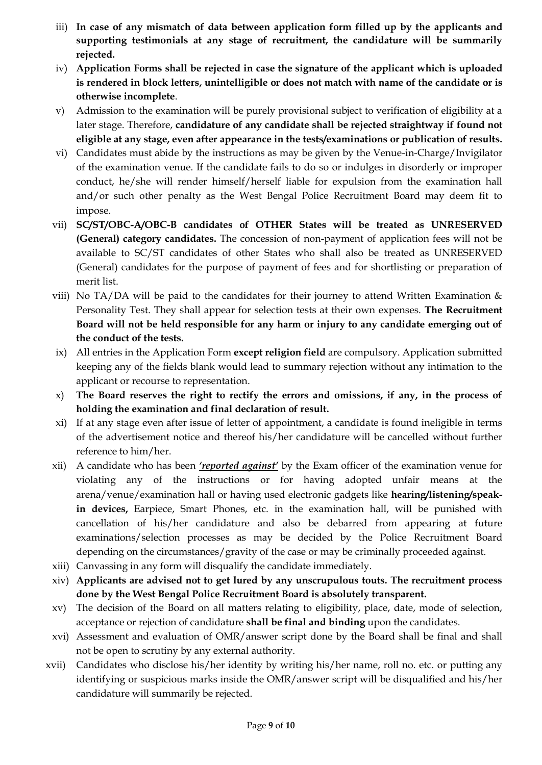- iii) **In case of any mismatch of data between application form filled up by the applicants and supporting testimonials at any stage of recruitment, the candidature will be summarily rejected.**
- iv) **Application Forms shall be rejected in case the signature of the applicant which is uploaded is rendered in block letters, unintelligible or does not match with name of the candidate or is otherwise incomplete**.
- v) Admission to the examination will be purely provisional subject to verification of eligibility at a later stage. Therefore, **candidature of any candidate shall be rejected straightway if found not eligible at any stage, even after appearance in the tests/examinations or publication of results.**
- vi) Candidates must abide by the instructions as may be given by the Venue-in-Charge/Invigilator of the examination venue. If the candidate fails to do so or indulges in disorderly or improper conduct, he/she will render himself/herself liable for expulsion from the examination hall and/or such other penalty as the West Bengal Police Recruitment Board may deem fit to impose.
- vii) **SC/ST/OBC-A/OBC-B candidates of OTHER States will be treated as UNRESERVED (General) category candidates.** The concession of non-payment of application fees will not be available to SC/ST candidates of other States who shall also be treated as UNRESERVED (General) candidates for the purpose of payment of fees and for shortlisting or preparation of merit list.
- viii) No TA/DA will be paid to the candidates for their journey to attend Written Examination  $\&$ Personality Test. They shall appear for selection tests at their own expenses. **The Recruitment Board will not be held responsible for any harm or injury to any candidate emerging out of the conduct of the tests.**
- ix) All entries in the Application Form **except religion field** are compulsory. Application submitted keeping any of the fields blank would lead to summary rejection without any intimation to the applicant or recourse to representation.
- x) **The Board reserves the right to rectify the errors and omissions, if any, in the process of holding the examination and final declaration of result.**
- xi) If at any stage even after issue of letter of appointment, a candidate is found ineligible in terms of the advertisement notice and thereof his/her candidature will be cancelled without further reference to him/her.
- xii) A candidate who has been *'reported against'* by the Exam officer of the examination venue for violating any of the instructions or for having adopted unfair means at the arena/venue/examination hall or having used electronic gadgets like **hearing/listening/speakin devices,** Earpiece, Smart Phones, etc. in the examination hall, will be punished with cancellation of his/her candidature and also be debarred from appearing at future examinations/selection processes as may be decided by the Police Recruitment Board depending on the circumstances/gravity of the case or may be criminally proceeded against.
- xiii) Canvassing in any form will disqualify the candidate immediately.
- xiv) **Applicants are advised not to get lured by any unscrupulous touts. The recruitment process done by the West Bengal Police Recruitment Board is absolutely transparent.**
- xv) The decision of the Board on all matters relating to eligibility, place, date, mode of selection, acceptance or rejection of candidature **shall be final and binding** upon the candidates.
- xvi) Assessment and evaluation of OMR/answer script done by the Board shall be final and shall not be open to scrutiny by any external authority.
- xvii) Candidates who disclose his/her identity by writing his/her name, roll no. etc. or putting any identifying or suspicious marks inside the OMR/answer script will be disqualified and his/her candidature will summarily be rejected.